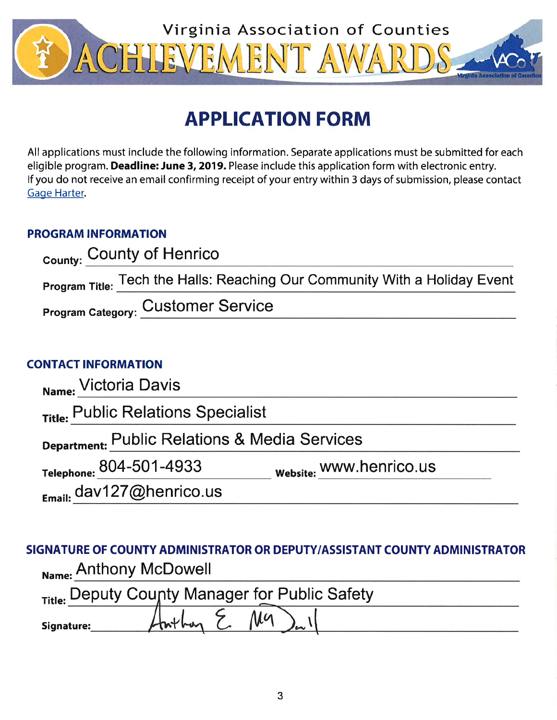

# **APPLICATION FORM**

All applications must include the following information. Separate applications must be submitted for each eligible program. Deadline: June 3, 2019. Please include this application form with electronic entry. If you do not receive an email confirming receipt of your entry within 3 days of submission, please contact Gage Harter.

### **PROGRAM INFORMATION**

| <sub>County:</sub> County of Henrico                                       |
|----------------------------------------------------------------------------|
| Program Title: Tech the Halls: Reaching Our Community With a Holiday Event |
| <b>Program Category: Customer Service</b>                                  |

## **CONTACT INFORMATION**

| Name: Victoria Davis                          |                         |  |  |
|-----------------------------------------------|-------------------------|--|--|
| Title: Public Relations Specialist            |                         |  |  |
| Department: Public Relations & Media Services |                         |  |  |
| Telephone: 804-501-4933                       | website: WWW.henrico.us |  |  |
| $E_{\text{mail:}}$ dav127@henrico.us          |                         |  |  |

## SIGNATURE OF COUNTY ADMINISTRATOR OR DEPUTY/ASSISTANT COUNTY ADMINISTRATOR Name: Anthony McDowell

|            | Title: Deputy County Manager for Public Safety |  |
|------------|------------------------------------------------|--|
| Signature: | Ma                                             |  |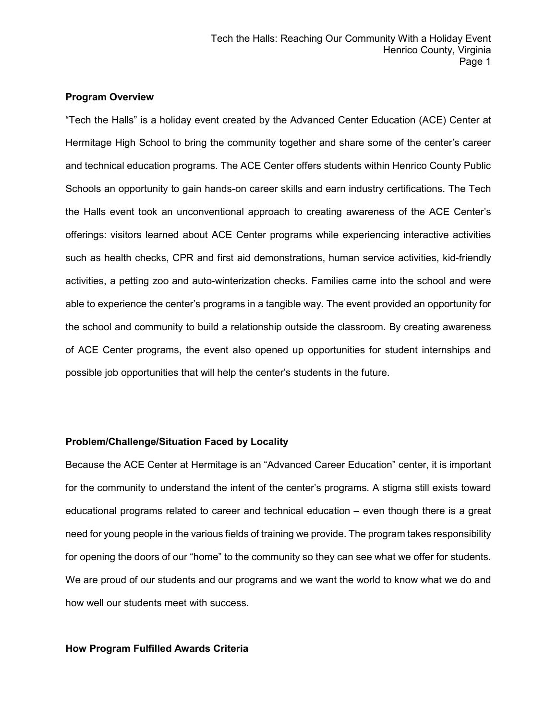#### **Program Overview**

"Tech the Halls" is a holiday event created by the Advanced Center Education (ACE) Center at Hermitage High School to bring the community together and share some of the center's career and technical education programs. The ACE Center offers students within Henrico County Public Schools an opportunity to gain hands-on career skills and earn industry certifications. The Tech the Halls event took an unconventional approach to creating awareness of the ACE Center's offerings: visitors learned about ACE Center programs while experiencing interactive activities such as health checks, CPR and first aid demonstrations, human service activities, kid-friendly activities, a petting zoo and auto-winterization checks. Families came into the school and were able to experience the center's programs in a tangible way. The event provided an opportunity for the school and community to build a relationship outside the classroom. By creating awareness of ACE Center programs, the event also opened up opportunities for student internships and possible job opportunities that will help the center's students in the future.

#### **Problem/Challenge/Situation Faced by Locality**

Because the ACE Center at Hermitage is an "Advanced Career Education" center, it is important for the community to understand the intent of the center's programs. A stigma still exists toward educational programs related to career and technical education – even though there is a great need for young people in the various fields of training we provide. The program takes responsibility for opening the doors of our "home" to the community so they can see what we offer for students. We are proud of our students and our programs and we want the world to know what we do and how well our students meet with success.

#### **How Program Fulfilled Awards Criteria**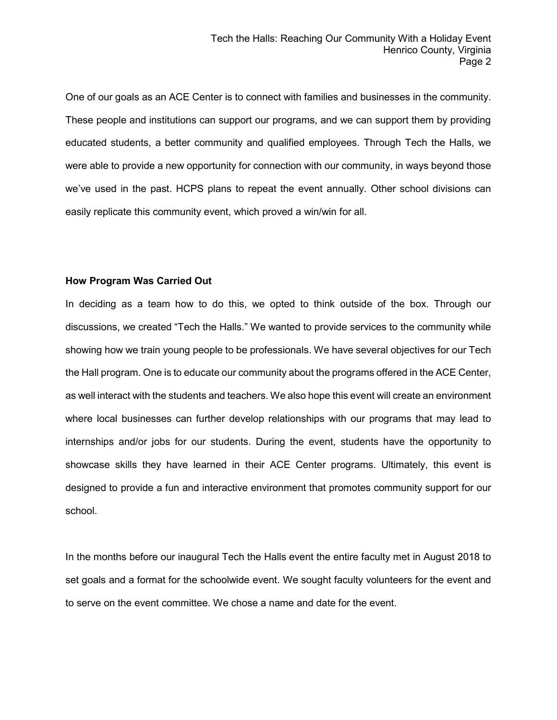One of our goals as an ACE Center is to connect with families and businesses in the community. These people and institutions can support our programs, and we can support them by providing educated students, a better community and qualified employees. Through Tech the Halls, we were able to provide a new opportunity for connection with our community, in ways beyond those we've used in the past. HCPS plans to repeat the event annually. Other school divisions can easily replicate this community event, which proved a win/win for all.

#### **How Program Was Carried Out**

In deciding as a team how to do this, we opted to think outside of the box. Through our discussions, we created "Tech the Halls." We wanted to provide services to the community while showing how we train young people to be professionals. We have several objectives for our Tech the Hall program. One is to educate our community about the programs offered in the ACE Center, as well interact with the students and teachers. We also hope this event will create an environment where local businesses can further develop relationships with our programs that may lead to internships and/or jobs for our students. During the event, students have the opportunity to showcase skills they have learned in their ACE Center programs. Ultimately, this event is designed to provide a fun and interactive environment that promotes community support for our school.

In the months before our inaugural Tech the Halls event the entire faculty met in August 2018 to set goals and a format for the schoolwide event. We sought faculty volunteers for the event and to serve on the event committee. We chose a name and date for the event.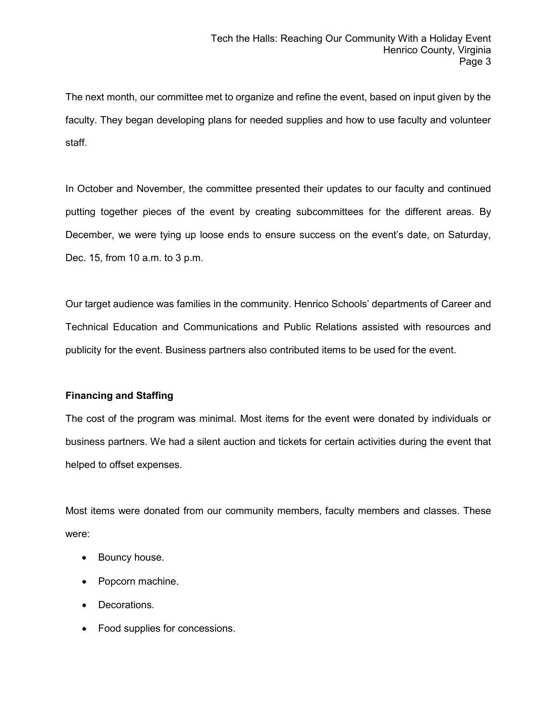The next month, our committee met to organize and refine the event, based on input given by the faculty. They began developing plans for needed supplies and how to use faculty and volunteer staff.

In October and November, the committee presented their updates to our faculty and continued putting together pieces of the event by creating subcommittees for the different areas. By December, we were tying up loose ends to ensure success on the event's date, on Saturday, Dec. 15, from 10 a.m. to 3 p.m.

Our target audience was families in the community. Henrico Schools' departments of Career and Technical Education and Communications and Public Relations assisted with resources and publicity for the event. Business partners also contributed items to be used for the event.

#### **Financing and Staffing**

The cost of the program was minimal. Most items for the event were donated by individuals or business partners. We had a silent auction and tickets for certain activities during the event that helped to offset expenses.

Most items were donated from our community members, faculty members and classes. These were:

- Bouncy house.
- Popcorn machine.
- Decorations.
- Food supplies for concessions.